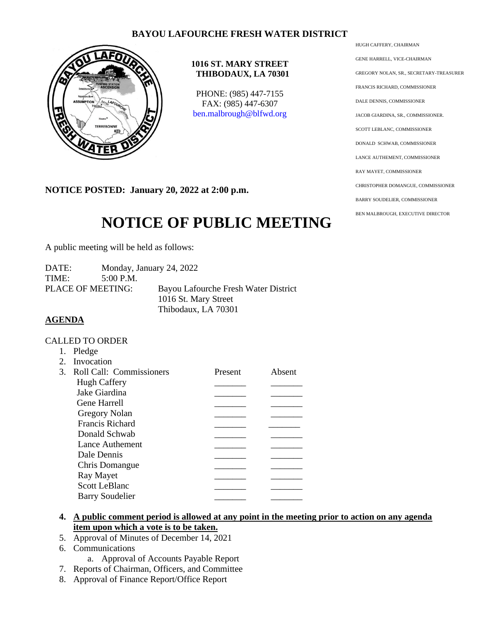## **BAYOU LAFOURCHE FRESH WATER DISTRICT**



### **1016 ST. MARY STREET THIBODAUX, LA 70301**

PHONE: (985) 447-7155 FAX: (985) 447-6307 [ben.malbrough@blfwd.org](mailto:ben.malbrough@blfwd.org)

**NOTICE POSTED: January 20, 2022 at 2:00 p.m.**

# **NOTICE OF PUBLIC MEETING**

A public meeting will be held as follows:

| DATE: |                   | Monday, January 24, 2022             |
|-------|-------------------|--------------------------------------|
| TIME: | $5:00$ P.M.       |                                      |
|       | PLACE OF MEETING: | Bayou Lafourche Fresh Water District |
|       |                   | 1016 St. Mary Street                 |
|       |                   | Thibodaux, LA 70301                  |

### **AGENDA**

#### CALLED TO ORDER

1. Pledge

| $2^{\circ}$ | Invocation                  |         |        |
|-------------|-----------------------------|---------|--------|
|             | 3. Roll Call: Commissioners | Present | Absent |
|             | <b>Hugh Caffery</b>         |         |        |
|             | Jake Giardina               |         |        |
|             | Gene Harrell                |         |        |
|             | <b>Gregory Nolan</b>        |         |        |
|             | <b>Francis Richard</b>      |         |        |
|             | Donald Schwab               |         |        |
|             | Lance Authement             |         |        |
|             | Dale Dennis                 |         |        |
|             | Chris Domangue              |         |        |
|             | Ray Mayet                   |         |        |
|             | <b>Scott LeBlanc</b>        |         |        |
|             | <b>Barry Soudelier</b>      |         |        |
|             |                             |         |        |

- **4. A public comment period is allowed at any point in the meeting prior to action on any agenda item upon which a vote is to be taken.**
- 5. Approval of Minutes of December 14, 2021
- 6. Communications
	- a. Approval of Accounts Payable Report
- 7. Reports of Chairman, Officers, and Committee
- 8. Approval of Finance Report/Office Report

HUGH CAFFERY, CHAIRMAN GENE HARRELL, VICE-CHAIRMAN GREGORY NOLAN, SR., SECRETARY-TREASURER FRANCIS RICHARD, COMMISSIONER DALE DENNIS, COMMISSIONER JACOB GIARDINA, SR., COMMISSIONER. SCOTT LEBLANC, COMMISSIONER DONALD SCHWAB, COMMISSIONER LANCE AUTHEMENT, COMMISSIONER RAY MAYET, COMMISSIONER CHRISTOPHER DOMANGUE, COMMISSIONER BARRY SOUDELIER, COMMISSIONER BEN MALBROUGH, EXECUTIVE DIRECTOR